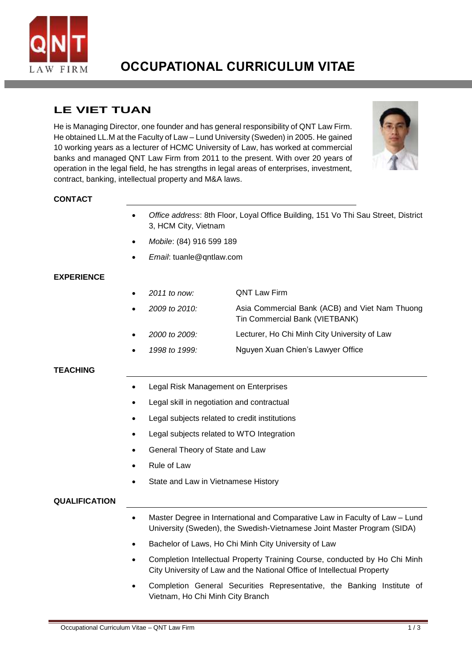

# **OCCUPATIONAL CURRICULUM VITAE**

## **LE VIET TUAN**

He is Managing Director, one founder and has general responsibility of QNT Law Firm. He obtained LL.M at the Faculty of Law – Lund University (Sweden) in 2005. He gained 10 working years as a lecturer of HCMC University of Law, has worked at commercial banks and managed QNT Law Firm from 2011 to the present. With over 20 years of operation in the legal field, he has strengths in legal areas of enterprises, investment, contract, banking, intellectual property and M&A laws.



#### **CONTACT**

- *Office address*: 8th Floor, Loyal Office Building, 151 Vo Thi Sau Street, District 3, HCM City, Vietnam
- *Mobile*: (84) 916 599 189
- *Email*: [tuanle@qntlaw.com](mailto:tuanle@qntlaw.com)

### **EXPERIENCE**

- *2011 to now:* QNT Law Firm
	- *2009 to 2010:* Asia Commercial Bank (ACB) and Viet Nam Thuong Tin Commercial Bank (VIETBANK)
- *2000 to 2009:* Lecturer, Ho Chi Minh City University of Law
- *1998 to 1999:* Nguyen Xuan Chien's Lawyer Office

#### **TEACHING**

- Legal Risk Management on Enterprises
- Legal skill in negotiation and contractual
- Legal subjects related to credit institutions
- Legal subjects related to WTO Integration
- General Theory of State and Law
- Rule of Law
- State and Law in Vietnamese History

#### **QUALIFICATION**

- Master Degree in International and Comparative Law in Faculty of Law Lund University (Sweden), the Swedish-Vietnamese Joint Master Program (SIDA)
- Bachelor of Laws, Ho Chi Minh City University of Law
- Completion Intellectual Property Training Course, conducted by Ho Chi Minh City University of Law and the National Office of Intellectual Property
- Completion General Securities Representative, the Banking Institute of Vietnam, Ho Chi Minh City Branch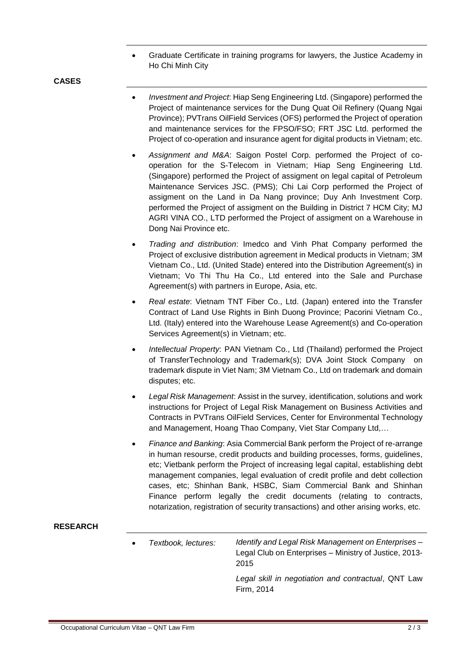Graduate Certificate in training programs for lawyers, the Justice Academy in Ho Chi Minh City

**CASES**

- *Investment and Project*: Hiap Seng Engineering Ltd. (Singapore) performed the Project of maintenance services for the Dung Quat Oil Refinery (Quang Ngai Province); PVTrans OilField Services (OFS) performed the Project of operation and maintenance services for the FPSO/FSO; FRT JSC Ltd. performed the Project of co-operation and insurance agent for digital products in Vietnam; etc.
- *Assignment and M&A*: Saigon Postel Corp. performed the Project of cooperation for the S-Telecom in Vietnam; Hiap Seng Engineering Ltd. (Singapore) performed the Project of assigment on legal capital of Petroleum Maintenance Services JSC. (PMS); Chi Lai Corp performed the Project of assigment on the Land in Da Nang province; Duy Anh Investment Corp. performed the Project of assigment on the Building in District 7 HCM City; MJ AGRI VINA CO., LTD performed the Project of assigment on a Warehouse in Dong Nai Province etc.
- *Trading and distribution*: Imedco and Vinh Phat Company performed the Project of exclusive distribution agreement in Medical products in Vietnam; 3M Vietnam Co., Ltd. (United Stade) entered into the Distribution Agreement(s) in Vietnam; Vo Thi Thu Ha Co., Ltd entered into the Sale and Purchase Agreement(s) with partners in Europe, Asia, etc.
- *Real estate*: Vietnam TNT Fiber Co., Ltd. (Japan) entered into the Transfer Contract of Land Use Rights in Binh Duong Province; Pacorini Vietnam Co., Ltd. (Italy) entered into the Warehouse Lease Agreement(s) and Co-operation Services Agreement(s) in Vietnam; etc.
- *Intellectual Property*: PAN Vietnam Co., Ltd (Thailand) performed the Project of TransferTechnology and Trademark(s); DVA Joint Stock Company on trademark dispute in Viet Nam; 3M Vietnam Co., Ltd on trademark and domain disputes; etc.
- *Legal Risk Management*: Assist in the survey, identification, solutions and work instructions for Project of Legal Risk Management on Business Activities and Contracts in PVTrans OilField Services, Center for Environmental Technology and Management, Hoang Thao Company, Viet Star Company Ltd,…
- *Finance and Banking*: Asia Commercial Bank perform the Project of re-arrange in human resourse, credit products and building processes, forms, guidelines, etc; Vietbank perform the Project of increasing legal capital, establishing debt management companies, legal evaluation of credit profile and debt collection cases, etc; Shinhan Bank, HSBC, Siam Commercial Bank and Shinhan Finance perform legally the credit documents (relating to contracts, notarization, registration of security transactions) and other arising works, etc.

#### **RESEARCH**

 *Textbook, lectures: Identify and Legal Risk Management on Enterprises* – Legal Club on Enterprises – Ministry of Justice, 2013- 2015 *Legal skill in negotiation and contractual*, QNT Law

Firm, 2014